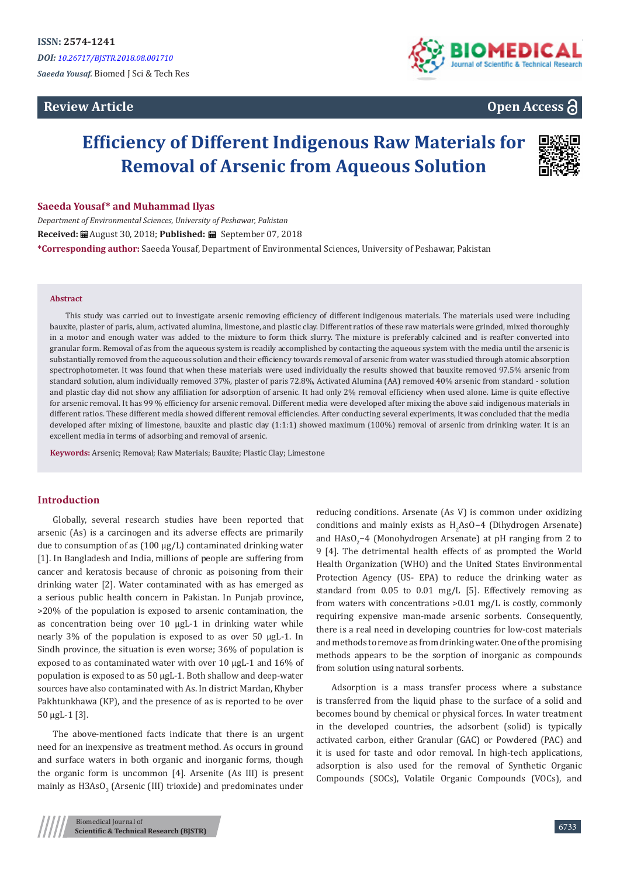# **Review Article**



# **Open Access**

# **Efficiency of Different Indigenous Raw Materials for Removal of Arsenic from Aqueous Solution**



#### **Saeeda Yousaf\* and Muhammad Ilyas**

*Department of Environmental Sciences, University of Peshawar, Pakistan* **Received:** August 30, 2018; **Published:** September 07, 2018 **\*Corresponding author:** Saeeda Yousaf, Department of Environmental Sciences, University of Peshawar, Pakistan

#### **Abstract**

This study was carried out to investigate arsenic removing efficiency of different indigenous materials. The materials used were including bauxite, plaster of paris, alum, activated alumina, limestone, and plastic clay. Different ratios of these raw materials were grinded, mixed thoroughly in a motor and enough water was added to the mixture to form thick slurry. The mixture is preferably calcined and is reafter converted into granular form. Removal of as from the aqueous system is readily accomplished by contacting the aqueous system with the media until the arsenic is substantially removed from the aqueous solution and their efficiency towards removal of arsenic from water was studied through atomic absorption spectrophotometer. It was found that when these materials were used individually the results showed that bauxite removed 97.5% arsenic from standard solution, alum individually removed 37%, plaster of paris 72.8%, Activated Alumina (AA) removed 40% arsenic from standard - solution and plastic clay did not show any affiliation for adsorption of arsenic. It had only 2% removal efficiency when used alone. Lime is quite effective for arsenic removal. It has 99 % efficiency for arsenic removal. Different media were developed after mixing the above said indigenous materials in different ratios. These different media showed different removal efficiencies. After conducting several experiments, it was concluded that the media developed after mixing of limestone, bauxite and plastic clay (1:1:1) showed maximum (100%) removal of arsenic from drinking water. It is an excellent media in terms of adsorbing and removal of arsenic.

**Keywords:** Arsenic; Removal; Raw Materials; Bauxite; Plastic Clay; Limestone

### **Introduction**

Globally, several research studies have been reported that arsenic (As) is a carcinogen and its adverse effects are primarily due to consumption of as (100 μg/L) contaminated drinking water [1]. In Bangladesh and India, millions of people are suffering from cancer and keratosis because of chronic as poisoning from their drinking water [2]. Water contaminated with as has emerged as a serious public health concern in Pakistan. In Punjab province, >20% of the population is exposed to arsenic contamination, the as concentration being over 10 μgL-1 in drinking water while nearly 3% of the population is exposed to as over 50 μgL-1. In Sindh province, the situation is even worse; 36% of population is exposed to as contaminated water with over 10 μgL-1 and 16% of population is exposed to as 50 μgL-1. Both shallow and deep-water sources have also contaminated with As. In district Mardan, Khyber Pakhtunkhawa (KP), and the presence of as is reported to be over 50 μgL-1 [3].

The above-mentioned facts indicate that there is an urgent need for an inexpensive as treatment method. As occurs in ground and surface waters in both organic and inorganic forms, though the organic form is uncommon [4]. Arsenite (As III) is present mainly as H3AsO $_3$  (Arsenic (III) trioxide) and predominates under reducing conditions. Arsenate (As V) is common under oxidizing conditions and mainly exists as  $H_2$ AsO−4 (Dihydrogen Arsenate) and HAsO<sub>2</sub>−4 (Monohydrogen Arsenate) at pH ranging from 2 to 9 [4]. The detrimental health effects of as prompted the World Health Organization (WHO) and the United States Environmental Protection Agency (US- EPA) to reduce the drinking water as standard from 0.05 to 0.01 mg/L [5]. Effectively removing as from waters with concentrations >0.01 mg/L is costly, commonly requiring expensive man-made arsenic sorbents. Consequently, there is a real need in developing countries for low-cost materials and methods to remove as from drinking water. One of the promising methods appears to be the sorption of inorganic as compounds from solution using natural sorbents.

Adsorption is a mass transfer process where a substance is transferred from the liquid phase to the surface of a solid and becomes bound by chemical or physical forces. In water treatment in the developed countries, the adsorbent (solid) is typically activated carbon, either Granular (GAC) or Powdered (PAC) and it is used for taste and odor removal. In high-tech applications, adsorption is also used for the removal of Synthetic Organic Compounds (SOCs), Volatile Organic Compounds (VOCs), and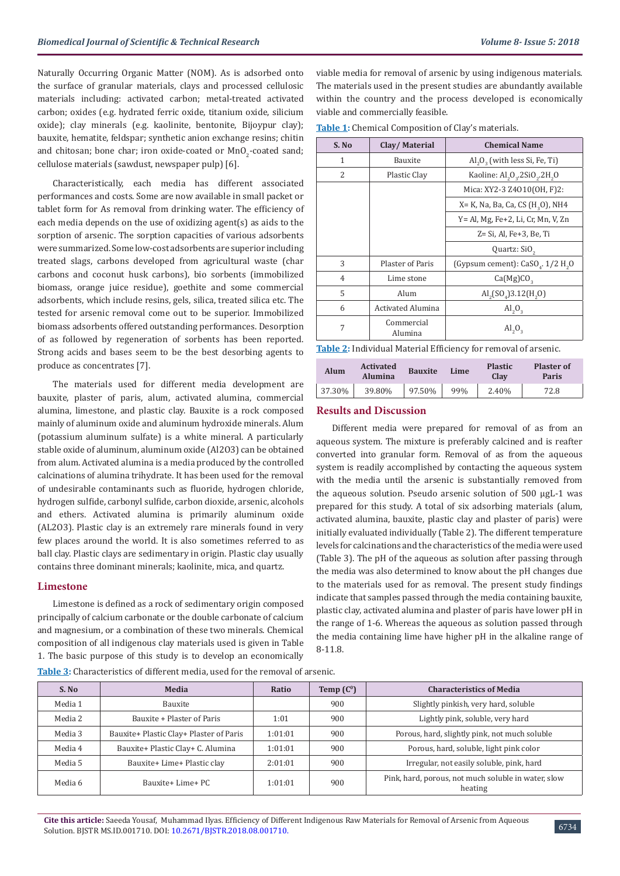Naturally Occurring Organic Matter (NOM). As is adsorbed onto the surface of granular materials, clays and processed cellulosic materials including: activated carbon; metal-treated activated carbon; oxides (e.g. hydrated ferric oxide, titanium oxide, silicium oxide); clay minerals (e.g. kaolinite, bentonite, Bijoypur clay); bauxite, hematite, feldspar; synthetic anion exchange resins; chitin and chitosan; bone char; iron oxide-coated or  $\texttt{MnO}_2\text{-} \text{coated sand};$ cellulose materials (sawdust, newspaper pulp) [6].

Characteristically, each media has different associated performances and costs. Some are now available in small packet or tablet form for As removal from drinking water. The efficiency of each media depends on the use of oxidizing agent(s) as aids to the sorption of arsenic. The sorption capacities of various adsorbents were summarized. Some low-cost adsorbents are superior including treated slags, carbons developed from agricultural waste (char carbons and coconut husk carbons), bio sorbents (immobilized biomass, orange juice residue), goethite and some commercial adsorbents, which include resins, gels, silica, treated silica etc. The tested for arsenic removal come out to be superior. Immobilized biomass adsorbents offered outstanding performances. Desorption of as followed by regeneration of sorbents has been reported. Strong acids and bases seem to be the best desorbing agents to produce as concentrates [7].

The materials used for different media development are bauxite, plaster of paris, alum, activated alumina, commercial alumina, limestone, and plastic clay. Bauxite is a rock composed mainly of aluminum oxide and aluminum hydroxide minerals. Alum (potassium aluminum sulfate) is a white mineral. A particularly stable oxide of aluminum, aluminum oxide (Al2O3) can be obtained from alum. Activated alumina is a media produced by the controlled calcinations of alumina trihydrate. It has been used for the removal of undesirable contaminants such as fluoride, hydrogen chloride, hydrogen sulfide, carbonyl sulfide, carbon dioxide, arsenic, alcohols and ethers. Activated alumina is primarily aluminum oxide (AL2O3). Plastic clay is an extremely rare minerals found in very few places around the world. It is also sometimes referred to as ball clay. Plastic clays are sedimentary in origin. Plastic clay usually contains three dominant minerals; kaolinite, mica, and quartz.

### **Limestone**

Limestone is defined as a rock of sedimentary origin composed principally of calcium carbonate or the double carbonate of calcium and magnesium, or a combination of these two minerals. Chemical composition of all indigenous clay materials used is given in Table 1. The basic purpose of this study is to develop an economically

viable media for removal of arsenic by using indigenous materials. The materials used in the present studies are abundantly available within the country and the process developed is economically viable and commercially feasible.

**Table 1:** Chemical Composition of Clay's materials.

| S. No          | Clay/Material         | <b>Chemical Name</b>                                  |  |  |  |  |
|----------------|-----------------------|-------------------------------------------------------|--|--|--|--|
| 1              | <b>Bauxite</b>        | Al <sub>2</sub> O <sub>2</sub> (with less Si, Fe, Ti) |  |  |  |  |
| $\mathcal{L}$  | Plastic Clay          | Kaoline: Al, 0, 2SiO, 2H, 0                           |  |  |  |  |
|                |                       | Mica: XY2-3 Z4010(OH, F)2:                            |  |  |  |  |
|                |                       | X= K, Na, Ba, Ca, CS (H <sub>3</sub> O), NH4          |  |  |  |  |
|                |                       | Y= Al, Mg, Fe+2, Li, Cr, Mn, V, Zn                    |  |  |  |  |
|                |                       | $Z = Si$ , Al, Fe $+3$ , Be, Ti                       |  |  |  |  |
|                |                       | Quartz: SiO <sub>2</sub>                              |  |  |  |  |
| 3              | Plaster of Paris      | (Gypsum cement): $CaSOa$ . 1/2 H <sub>2</sub> O       |  |  |  |  |
| $\overline{4}$ | Lime stone            | Ca(Mg)CO <sub>2</sub>                                 |  |  |  |  |
| 5              | Alum                  | $\text{Al}_{2}(SO_{4})3.12(\text{H}_{2}\text{O})$     |  |  |  |  |
| 6              | Activated Alumina     | $\mathrm{Al}_2\mathrm{O}_3$                           |  |  |  |  |
| 7              | Commercial<br>Alumina | $\mathrm{Al}_2\mathrm{O}_3$                           |  |  |  |  |

**Table 2:** Individual Material Efficiency for removal of arsenic.

| Alum   | <b>Activated</b><br><b>Alumina</b> | <b>Bauxite</b> | Lime | <b>Plastic</b><br><b>Clay</b> | <b>Plaster of</b><br>Paris |  |
|--------|------------------------------------|----------------|------|-------------------------------|----------------------------|--|
| 37.30% | 39.80%                             | 97.50%         | 99%  | 2.40%                         | 72.8                       |  |

### **Results and Discussion**

Different media were prepared for removal of as from an aqueous system. The mixture is preferably calcined and is reafter converted into granular form. Removal of as from the aqueous system is readily accomplished by contacting the aqueous system with the media until the arsenic is substantially removed from the aqueous solution. Pseudo arsenic solution of 500 μgL-1 was prepared for this study. A total of six adsorbing materials (alum, activated alumina, bauxite, plastic clay and plaster of paris) were initially evaluated individually (Table 2). The different temperature levels for calcinations and the characteristics of the media were used (Table 3). The pH of the aqueous as solution after passing through the media was also determined to know about the pH changes due to the materials used for as removal. The present study findings indicate that samples passed through the media containing bauxite, plastic clay, activated alumina and plaster of paris have lower pH in the range of 1-6. Whereas the aqueous as solution passed through the media containing lime have higher pH in the alkaline range of 8-11.8.

**Table 3:** Characteristics of different media, used for the removal of arsenic.

| S. No   | Media                                   | Ratio   | Temp $(C^0)$ | <b>Characteristics of Media</b>                                |  |  |
|---------|-----------------------------------------|---------|--------------|----------------------------------------------------------------|--|--|
| Media 1 | <b>Bauxite</b>                          |         | 900          | Slightly pinkish, very hard, soluble                           |  |  |
| Media 2 | Bauxite + Plaster of Paris              | 1:01    | 900          | Lightly pink, soluble, very hard                               |  |  |
| Media 3 | Bauxite+ Plastic Clay+ Plaster of Paris | 1:01:01 | 900          | Porous, hard, slightly pink, not much soluble                  |  |  |
| Media 4 | Bauxite+ Plastic Clay+ C. Alumina       | 1:01:01 | 900          | Porous, hard, soluble, light pink color                        |  |  |
| Media 5 | Bauxite+ Lime+ Plastic clay             | 2:01:01 | 900          | Irregular, not easily soluble, pink, hard                      |  |  |
| Media 6 | Bauxite+ Lime+ PC                       | 1:01:01 | 900          | Pink, hard, porous, not much soluble in water, slow<br>heating |  |  |

**Cite this article:** Saeeda Yousaf, Muhammad Ilyas. Efficiency of Different Indigenous Raw Materials for Removal of Arsenic from Aqueous Solution. BJSTR MS.ID.001710. DOI: [10.2671/BJSTR.2018.08.0017](http://dx.doi.org/10.26717/BJSTR.2018.08.001709)10.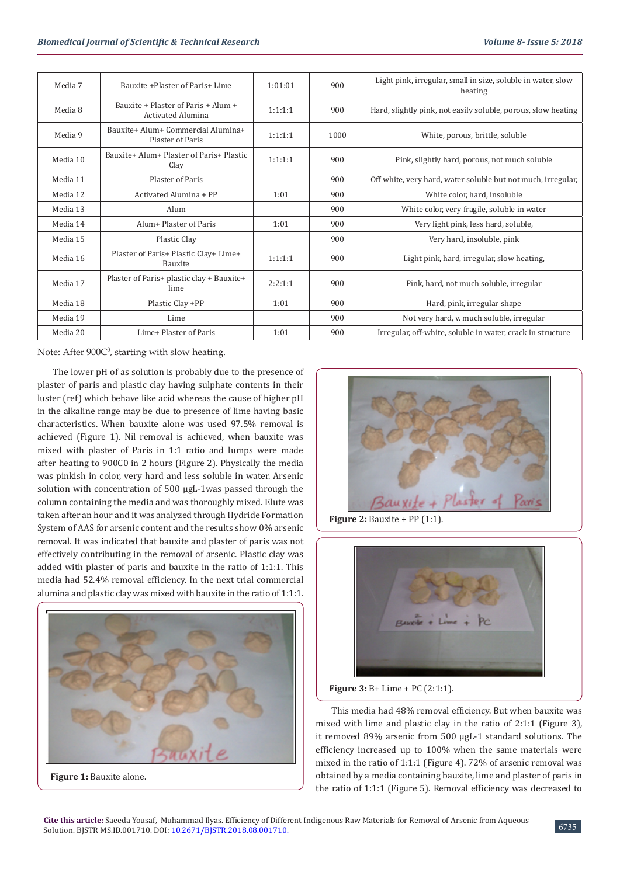| Media 7  | Bauxite +Plaster of Paris+ Lime                          | 1:01:01 | 900  | Light pink, irregular, small in size, soluble in water, slow<br>heating |
|----------|----------------------------------------------------------|---------|------|-------------------------------------------------------------------------|
| Media 8  | Bauxite + Plaster of Paris + Alum +<br>Activated Alumina | 1:1:1:1 | 900  | Hard, slightly pink, not easily soluble, porous, slow heating           |
| Media 9  | Bauxite+ Alum+ Commercial Alumina+<br>Plaster of Paris   | 1:1:1:1 | 1000 | White, porous, brittle, soluble                                         |
| Media 10 | Bauxite+ Alum+ Plaster of Paris+ Plastic<br>Clay         | 1:1:1:1 | 900  | Pink, slightly hard, porous, not much soluble                           |
| Media 11 | Plaster of Paris                                         |         | 900  | Off white, very hard, water soluble but not much, irregular,            |
| Media 12 | Activated Alumina + PP                                   | 1:01    | 900  | White color, hard, insoluble                                            |
| Media 13 | Alum                                                     |         | 900  | White color, very fragile, soluble in water                             |
| Media 14 | Alum+ Plaster of Paris                                   | 1:01    | 900  | Very light pink, less hard, soluble,                                    |
| Media 15 | Plastic Clay                                             |         | 900  | Very hard, insoluble, pink                                              |
| Media 16 | Plaster of Paris+ Plastic Clay+ Lime+<br>Bauxite         | 1:1:1:1 | 900  | Light pink, hard, irregular, slow heating,                              |
| Media 17 | Plaster of Paris+ plastic clay + Bauxite+<br>lime        | 2:2:1:1 | 900  | Pink, hard, not much soluble, irregular                                 |
| Media 18 | Plastic Clay +PP                                         | 1:01    | 900  | Hard, pink, irregular shape                                             |
| Media 19 | Lime                                                     |         | 900  | Not very hard, v. much soluble, irregular                               |
| Media 20 | Lime+ Plaster of Paris                                   | 1:01    | 900  | Irregular, off-white, soluble in water, crack in structure              |

Note: After  $900C$ <sup>0</sup>, starting with slow heating.

The lower pH of as solution is probably due to the presence of plaster of paris and plastic clay having sulphate contents in their luster (ref) which behave like acid whereas the cause of higher pH in the alkaline range may be due to presence of lime having basic characteristics. When bauxite alone was used 97.5% removal is achieved (Figure 1). Nil removal is achieved, when bauxite was mixed with plaster of Paris in 1:1 ratio and lumps were made after heating to 900C0 in 2 hours (Figure 2). Physically the media was pinkish in color, very hard and less soluble in water. Arsenic solution with concentration of 500 μgL-1was passed through the column containing the media and was thoroughly mixed. Elute was taken after an hour and it was analyzed through Hydride Formation System of AAS for arsenic content and the results show 0% arsenic removal. It was indicated that bauxite and plaster of paris was not effectively contributing in the removal of arsenic. Plastic clay was added with plaster of paris and bauxite in the ratio of 1:1:1. This media had 52.4% removal efficiency. In the next trial commercial alumina and plastic clay was mixed with bauxite in the ratio of 1:1:1.







**Figure 2: Bauxite + PP (1:1).** 



**Figure 3:** B+ Lime + PC (2:1:1).

This media had 48% removal efficiency. But when bauxite was mixed with lime and plastic clay in the ratio of 2:1:1 (Figure 3), it removed 89% arsenic from 500 μgL-1 standard solutions. The efficiency increased up to 100% when the same materials were mixed in the ratio of 1:1:1 (Figure 4). 72% of arsenic removal was obtained by a media containing bauxite, lime and plaster of paris in the ratio of 1:1:1 (Figure 5). Removal efficiency was decreased to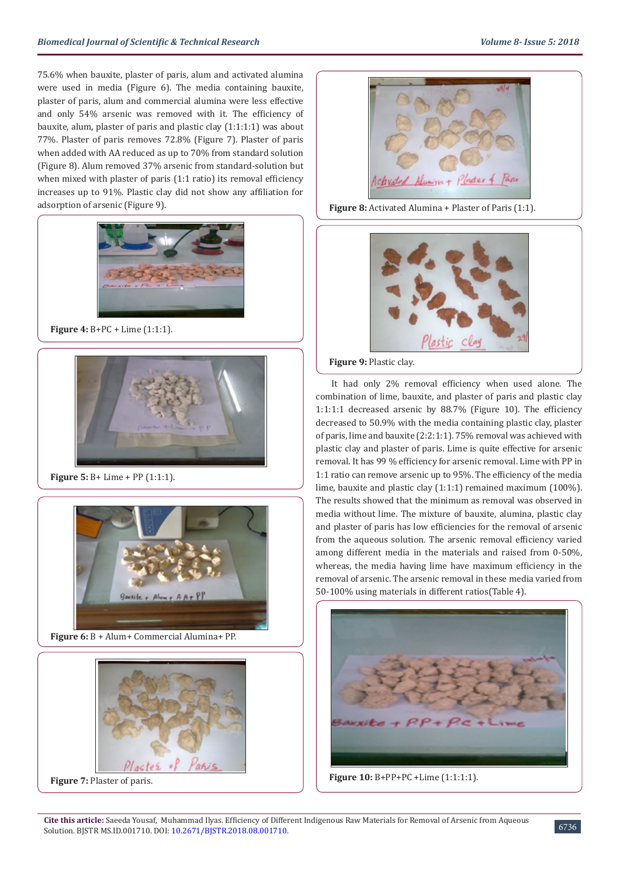75.6% when bauxite, plaster of paris, alum and activated alumina were used in media (Figure 6). The media containing bauxite, plaster of paris, alum and commercial alumina were less effective and only 54% arsenic was removed with it. The efficiency of bauxite, alum, plaster of paris and plastic clay (1:1:1:1) was about 77%. Plaster of paris removes 72.8% (Figure 7). Plaster of paris when added with AA reduced as up to 70% from standard solution (Figure 8). Alum removed 37% arsenic from standard-solution but when mixed with plaster of paris (1:1 ratio) its removal efficiency increases up to 91%. Plastic clay did not show any affiliation for adsorption of arsenic (Figure 9).



**Figure 4:** B+PC + Lime (1:1:1).



**Figure 5:** B+ Lime + PP (1:1:1).



**Figure 6:** B + Alum+ Commercial Alumina+ PP.



**Figure 7:** Plaster of paris.



**Figure 8:** Activated Alumina + Plaster of Paris (1:1).



**Figure 9:** Plastic clay.

It had only 2% removal efficiency when used alone. The combination of lime, bauxite, and plaster of paris and plastic clay 1:1:1:1 decreased arsenic by 88.7% (Figure 10). The efficiency decreased to 50.9% with the media containing plastic clay, plaster of paris, lime and bauxite (2:2:1:1). 75% removal was achieved with plastic clay and plaster of paris. Lime is quite effective for arsenic removal. It has 99 % efficiency for arsenic removal. Lime with PP in 1:1 ratio can remove arsenic up to 95%. The efficiency of the media lime, bauxite and plastic clay (1:1:1) remained maximum (100%). The results showed that the minimum as removal was observed in media without lime. The mixture of bauxite, alumina, plastic clay and plaster of paris has low efficiencies for the removal of arsenic from the aqueous solution. The arsenic removal efficiency varied among different media in the materials and raised from 0-50%, whereas, the media having lime have maximum efficiency in the removal of arsenic. The arsenic removal in these media varied from 50-100% using materials in different ratios(Table 4).



**Figure 10:** B+PP+PC +Lime (1:1:1:1).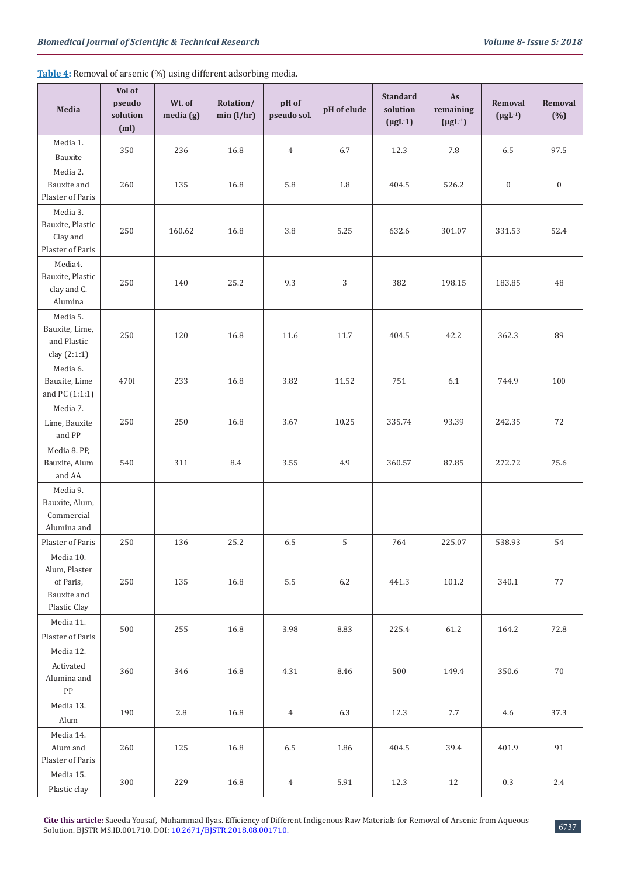| Media                                                                  | Vol of<br>pseudo<br>solution<br>(m <sub>l</sub> ) | Wt. of<br>media(g) | Rotation/<br>min(l/hr) | pH of<br>pseudo sol. | pH of elude | <b>Standard</b><br>solution<br>$(\mu g L 1)$ | As<br>remaining<br>$(\mu g L^{-1})$ | Removal<br>$(\mu g L^{-1})$ | Removal<br>(%)   |
|------------------------------------------------------------------------|---------------------------------------------------|--------------------|------------------------|----------------------|-------------|----------------------------------------------|-------------------------------------|-----------------------------|------------------|
| Media 1.<br>Bauxite                                                    | 350                                               | 236                | 16.8                   | $\overline{4}$       | 6.7         | 12.3                                         | 7.8                                 | 6.5                         | 97.5             |
| Media 2.<br>Bauxite and<br><b>Plaster of Paris</b>                     | 260                                               | 135                | 16.8                   | 5.8                  | 1.8         | 404.5                                        | 526.2                               | $\boldsymbol{0}$            | $\boldsymbol{0}$ |
| Media 3.<br>Bauxite, Plastic<br>Clay and<br>Plaster of Paris           | 250                                               | 160.62             | 16.8                   | 3.8                  | 5.25        | 632.6                                        | 301.07                              | 331.53                      | 52.4             |
| Media4.<br>Bauxite, Plastic<br>clay and C.<br>Alumina                  | 250                                               | 140                | 25.2                   | 9.3                  | 3           | 382                                          | 198.15                              | 183.85                      | 48               |
| Media 5.<br>Bauxite, Lime,<br>and Plastic<br>clay (2:1:1)              | 250                                               | 120                | 16.8                   | 11.6                 | 11.7        | 404.5                                        | 42.2                                | 362.3                       | 89               |
| Media 6.<br>Bauxite, Lime<br>and PC (1:1:1)                            | 4701                                              | 233                | 16.8                   | 3.82                 | 11.52       | 751                                          | 6.1                                 | 744.9                       | 100              |
| Media 7.<br>Lime, Bauxite<br>and PP                                    | 250                                               | 250                | 16.8                   | 3.67                 | 10.25       | 335.74                                       | 93.39                               | 242.35                      | $72\,$           |
| Media 8. PP,<br>Bauxite, Alum<br>and AA                                | 540                                               | 311                | 8.4                    | 3.55                 | 4.9         | 360.57                                       | 87.85                               | 272.72                      | 75.6             |
| Media 9.<br>Bauxite, Alum,<br>Commercial<br>Alumina and                |                                                   |                    |                        |                      |             |                                              |                                     |                             |                  |
| Plaster of Paris                                                       | 250                                               | 136                | 25.2                   | 6.5                  | 5           | 764                                          | 225.07                              | 538.93                      | 54               |
| Media 10.<br>Alum, Plaster<br>of Paris,<br>Bauxite and<br>Plastic Clay | 250                                               | 135                | 16.8                   | $5.5\,$              | $6.2\,$     | 441.3                                        | 101.2                               | 340.1                       | $77\,$           |
| Media 11.<br>Plaster of Paris                                          | 500                                               | 255                | 16.8                   | 3.98                 | 8.83        | 225.4                                        | 61.2                                | 164.2                       | 72.8             |
| Media 12.<br>Activated<br>Alumina and<br>${\rm PP}$                    | 360                                               | 346                | 16.8                   | 4.31                 | 8.46        | 500                                          | 149.4                               | 350.6                       | $70\,$           |
| Media 13.<br>Alum                                                      | 190                                               | 2.8                | 16.8                   | $\overline{4}$       | 6.3         | 12.3                                         | 7.7                                 | 4.6                         | 37.3             |
| Media 14.<br>Alum and<br>Plaster of Paris                              | 260                                               | 125                | 16.8                   | $6.5\,$              | 1.86        | 404.5                                        | 39.4                                | 401.9                       | 91               |
| Media 15.<br>Plastic clay                                              | 300                                               | 229                | 16.8                   | $\overline{4}$       | 5.91        | 12.3                                         | 12                                  | 0.3                         | 2.4              |

**Table 4:** Removal of arsenic (%) using different adsorbing media.

**Cite this article:** Saeeda Yousaf, Muhammad Ilyas. Efficiency of Different Indigenous Raw Materials for Removal of Arsenic from Aqueous Solution. BJSTR MS.ID.001710. DOI: [10.2671/BJSTR.2018.08.001710](http://dx.doi.org/10.26717/BJSTR.2018.08.001710).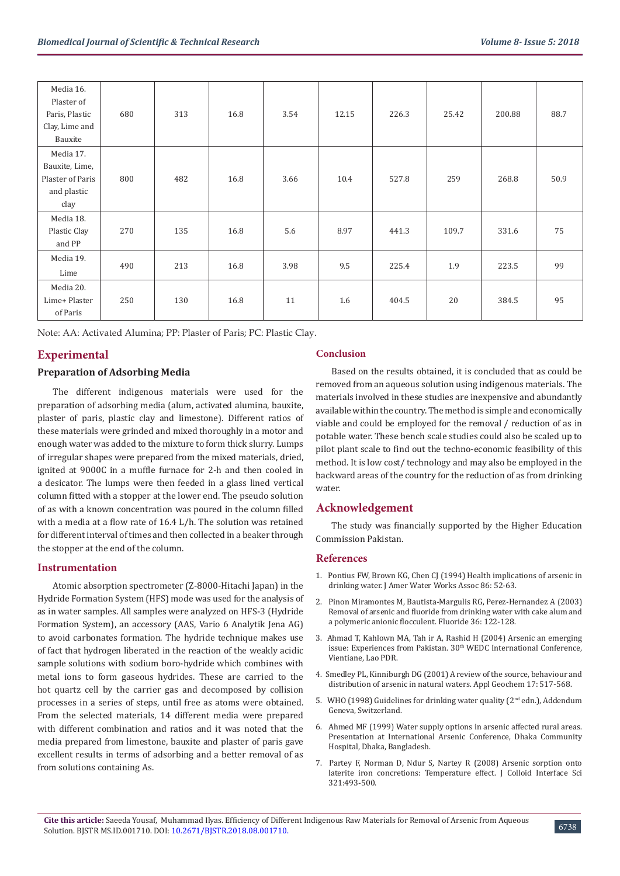| Media 16.<br>Plaster of<br>Paris, Plastic<br>Clay, Lime and<br>Bauxite | 680 | 313 | 16.8 | 3.54 | 12.15 | 226.3 | 25.42 | 200.88 | 88.7 |
|------------------------------------------------------------------------|-----|-----|------|------|-------|-------|-------|--------|------|
| Media 17.                                                              |     |     |      |      |       |       |       |        |      |
| Bauxite, Lime,<br>Plaster of Paris                                     | 800 | 482 | 16.8 | 3.66 | 10.4  | 527.8 | 259   | 268.8  | 50.9 |
| and plastic                                                            |     |     |      |      |       |       |       |        |      |
| clay                                                                   |     |     |      |      |       |       |       |        |      |
| Media 18.                                                              |     |     |      |      |       |       |       |        |      |
| Plastic Clay                                                           | 270 | 135 | 16.8 | 5.6  | 8.97  | 441.3 | 109.7 | 331.6  | 75   |
| and PP                                                                 |     |     |      |      |       |       |       |        |      |
| Media 19.                                                              | 490 | 213 | 16.8 | 3.98 | 9.5   | 225.4 | 1.9   | 223.5  | 99   |
| Lime                                                                   |     |     |      |      |       |       |       |        |      |
| Media 20.                                                              |     |     |      |      |       |       |       |        |      |
| Lime+ Plaster                                                          | 250 | 130 | 16.8 | 11   | 1.6   | 404.5 | 20    | 384.5  | 95   |
| of Paris                                                               |     |     |      |      |       |       |       |        |      |

Note: AA: Activated Alumina; PP: Plaster of Paris; PC: Plastic Clay.

### **Experimental**

### **Preparation of Adsorbing Media**

The different indigenous materials were used for the preparation of adsorbing media (alum, activated alumina, bauxite, plaster of paris, plastic clay and limestone). Different ratios of these materials were grinded and mixed thoroughly in a motor and enough water was added to the mixture to form thick slurry. Lumps of irregular shapes were prepared from the mixed materials, dried, ignited at 9000C in a muffle furnace for 2-h and then cooled in a desicator. The lumps were then feeded in a glass lined vertical column fitted with a stopper at the lower end. The pseudo solution of as with a known concentration was poured in the column filled with a media at a flow rate of 16.4 L/h. The solution was retained for different interval of times and then collected in a beaker through the stopper at the end of the column.

#### **Instrumentation**

Atomic absorption spectrometer (Z-8000-Hitachi Japan) in the Hydride Formation System (HFS) mode was used for the analysis of as in water samples. All samples were analyzed on HFS-3 (Hydride Formation System), an accessory (AAS, Vario 6 Analytik Jena AG) to avoid carbonates formation. The hydride technique makes use of fact that hydrogen liberated in the reaction of the weakly acidic sample solutions with sodium boro-hydride which combines with metal ions to form gaseous hydrides. These are carried to the hot quartz cell by the carrier gas and decomposed by collision processes in a series of steps, until free as atoms were obtained. From the selected materials, 14 different media were prepared with different combination and ratios and it was noted that the media prepared from limestone, bauxite and plaster of paris gave excellent results in terms of adsorbing and a better removal of as from solutions containing As.

### **Conclusion**

Based on the results obtained, it is concluded that as could be removed from an aqueous solution using indigenous materials. The materials involved in these studies are inexpensive and abundantly available within the country. The method is simple and economically viable and could be employed for the removal / reduction of as in potable water. These bench scale studies could also be scaled up to pilot plant scale to find out the techno-economic feasibility of this method. It is low cost/ technology and may also be employed in the backward areas of the country for the reduction of as from drinking water.

### **Acknowledgement**

The study was financially supported by the Higher Education Commission Pakistan.

#### **References**

- 1. [Pontius FW, Brown KG, Chen CJ \(1994\) Health implications of arsenic in](https://www.researchgate.net/publication/261713368_Health_Implications_of_Arsenic_in_Drinking_Water) [drinking water. J Amer Water Works Assoc 86: 52-63.](https://www.researchgate.net/publication/261713368_Health_Implications_of_Arsenic_in_Drinking_Water)
- 2. [Pinon Miramontes M, Bautista-Margulis RG, Perez-Hernandez A \(2003\)](http://www.fluorideresearch.org/362/files/FJ2003_v36_n2_p122-128.pdf) [Removal of arsenic and fluoride from drinking water with cake alum and](http://www.fluorideresearch.org/362/files/FJ2003_v36_n2_p122-128.pdf) [a polymeric anionic flocculent. Fluoride 36: 122-128.](http://www.fluorideresearch.org/362/files/FJ2003_v36_n2_p122-128.pdf)
- 3. [Ahmad T, Kahlown MA, Tah ir A, Rashid H \(2004\) Arsenic an emerging](https://wedc-knowledge.lboro.ac.uk/resources/conference/30/Ahmad.pdf) [issue: Experiences from Pakistan. 30](https://wedc-knowledge.lboro.ac.uk/resources/conference/30/Ahmad.pdf)<sup>th</sup> WEDC International Conference, [Vientiane, Lao PDR.](https://wedc-knowledge.lboro.ac.uk/resources/conference/30/Ahmad.pdf)
- 4. [Smedley PL, Kinniburgh DG \(2001\) A review of the source, behaviour and](https://www.sciencedirect.com/science/article/pii/S0883292702000185) [distribution of arsenic in natural waters. Appl Geochem 17: 517-568.](https://www.sciencedirect.com/science/article/pii/S0883292702000185)
- 5. [WHO \(1998\) Guidelines for drinking water quality \(2](http://www.who.int/water_sanitation_health/publications/gdwq2v1/en/index4.html)<sup>nd</sup> edn.), Addendum [Geneva, Switzerland.](http://www.who.int/water_sanitation_health/publications/gdwq2v1/en/index4.html)
- 6. Ahmed MF (1999) Water supply options in arsenic affected rural areas. Presentation at International Arsenic Conference, Dhaka Community Hospital, Dhaka, Bangladesh.
- 7. [Partey F, Norman D, Ndur S, Nartey R \(2008\) Arsenic sorption onto](https://www.ncbi.nlm.nih.gov/pubmed/18346752) [laterite iron concretions: Temperature effect. J Colloid Interface Sci](https://www.ncbi.nlm.nih.gov/pubmed/18346752) [321:493-500.](https://www.ncbi.nlm.nih.gov/pubmed/18346752)